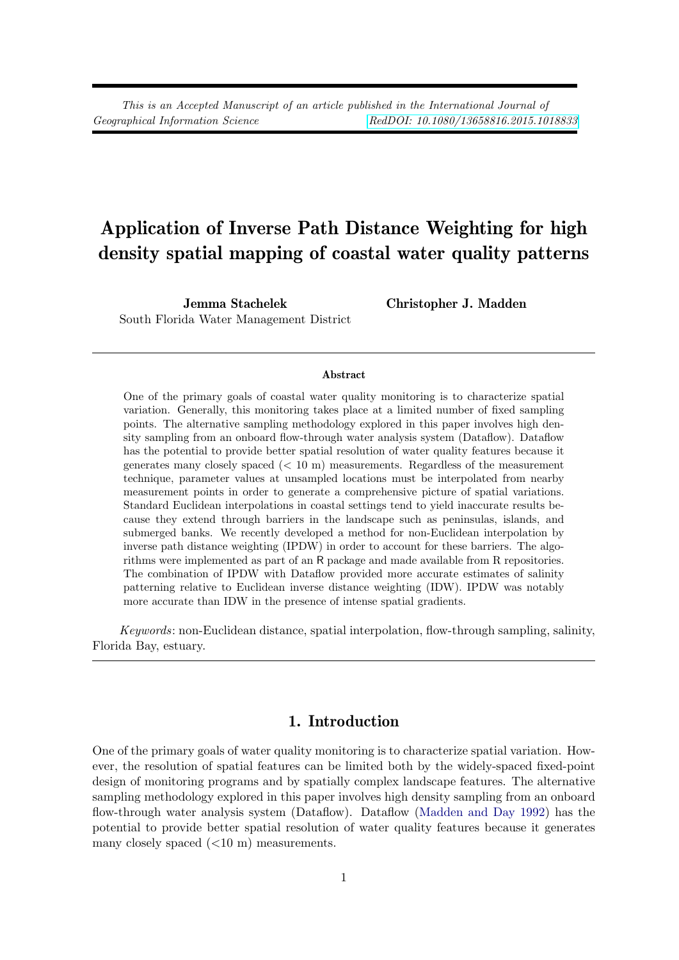# Application of Inverse Path Distance Weighting for high density spatial mapping of coastal water quality patterns

Jemma Stachelek South Florida Water Management District Christopher J. Madden

#### Abstract

One of the primary goals of coastal water quality monitoring is to characterize spatial variation. Generally, this monitoring takes place at a limited number of fixed sampling points. The alternative sampling methodology explored in this paper involves high density sampling from an onboard flow-through water analysis system (Dataflow). Dataflow has the potential to provide better spatial resolution of water quality features because it generates many closely spaced  $( $10 \text{ m}$ )$  measurements. Regardless of the measurement technique, parameter values at unsampled locations must be interpolated from nearby measurement points in order to generate a comprehensive picture of spatial variations. Standard Euclidean interpolations in coastal settings tend to yield inaccurate results because they extend through barriers in the landscape such as peninsulas, islands, and submerged banks. We recently developed a method for non-Euclidean interpolation by inverse path distance weighting (IPDW) in order to account for these barriers. The algorithms were implemented as part of an R package and made available from R repositories. The combination of IPDW with Dataflow provided more accurate estimates of salinity patterning relative to Euclidean inverse distance weighting (IDW). IPDW was notably more accurate than IDW in the presence of intense spatial gradients.

Keywords: non-Euclidean distance, spatial interpolation, flow-through sampling, salinity, Florida Bay, estuary.

## 1. Introduction

One of the primary goals of water quality monitoring is to characterize spatial variation. However, the resolution of spatial features can be limited both by the widely-spaced fixed-point design of monitoring programs and by spatially complex landscape features. The alternative sampling methodology explored in this paper involves high density sampling from an onboard flow-through water analysis system (Dataflow). Dataflow [\(Madden and Day](#page-10-0) [1992\)](#page-10-0) has the potential to provide better spatial resolution of water quality features because it generates many closely spaced  $(<10 \text{ m})$  measurements.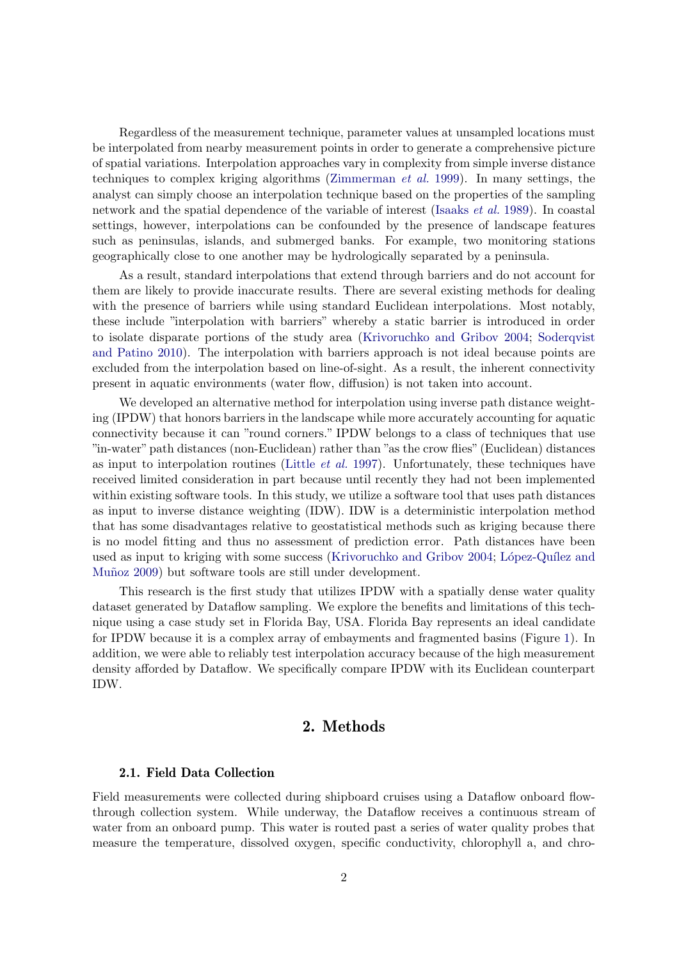Regardless of the measurement technique, parameter values at unsampled locations must be interpolated from nearby measurement points in order to generate a comprehensive picture of spatial variations. Interpolation approaches vary in complexity from simple inverse distance techniques to complex kriging algorithms [\(Zimmerman](#page-11-0) et al. [1999\)](#page-11-0). In many settings, the analyst can simply choose an interpolation technique based on the properties of the sampling network and the spatial dependence of the variable of interest [\(Isaaks](#page-10-1) *et al.* [1989\)](#page-10-1). In coastal settings, however, interpolations can be confounded by the presence of landscape features such as peninsulas, islands, and submerged banks. For example, two monitoring stations geographically close to one another may be hydrologically separated by a peninsula.

As a result, standard interpolations that extend through barriers and do not account for them are likely to provide inaccurate results. There are several existing methods for dealing with the presence of barriers while using standard Euclidean interpolations. Most notably, these include "interpolation with barriers" whereby a static barrier is introduced in order to isolate disparate portions of the study area [\(Krivoruchko and Gribov](#page-10-2) [2004;](#page-10-2) [Soderqvist](#page-10-3) [and Patino](#page-10-3) [2010\)](#page-10-3). The interpolation with barriers approach is not ideal because points are excluded from the interpolation based on line-of-sight. As a result, the inherent connectivity present in aquatic environments (water flow, diffusion) is not taken into account.

We developed an alternative method for interpolation using inverse path distance weighting (IPDW) that honors barriers in the landscape while more accurately accounting for aquatic connectivity because it can "round corners." IPDW belongs to a class of techniques that use "in-water" path distances (non-Euclidean) rather than "as the crow flies" (Euclidean) distances as input to interpolation routines [\(Little](#page-10-4) *et al.* [1997\)](#page-10-4). Unfortunately, these techniques have received limited consideration in part because until recently they had not been implemented within existing software tools. In this study, we utilize a software tool that uses path distances as input to inverse distance weighting (IDW). IDW is a deterministic interpolation method that has some disadvantages relative to geostatistical methods such as kriging because there is no model fitting and thus no assessment of prediction error. Path distances have been used as input to kriging with some success [\(Krivoruchko and Gribov](#page-10-2) [2004;](#page-10-2) López-Quílez and Muñoz [2009\)](#page-10-5) but software tools are still under development.

This research is the first study that utilizes IPDW with a spatially dense water quality dataset generated by Dataflow sampling. We explore the benefits and limitations of this technique using a case study set in Florida Bay, USA. Florida Bay represents an ideal candidate for IPDW because it is a complex array of embayments and fragmented basins (Figure [1\)](#page-2-0). In addition, we were able to reliably test interpolation accuracy because of the high measurement density afforded by Dataflow. We specifically compare IPDW with its Euclidean counterpart IDW.

## 2. Methods

#### 2.1. Field Data Collection

Field measurements were collected during shipboard cruises using a Dataflow onboard flowthrough collection system. While underway, the Dataflow receives a continuous stream of water from an onboard pump. This water is routed past a series of water quality probes that measure the temperature, dissolved oxygen, specific conductivity, chlorophyll a, and chro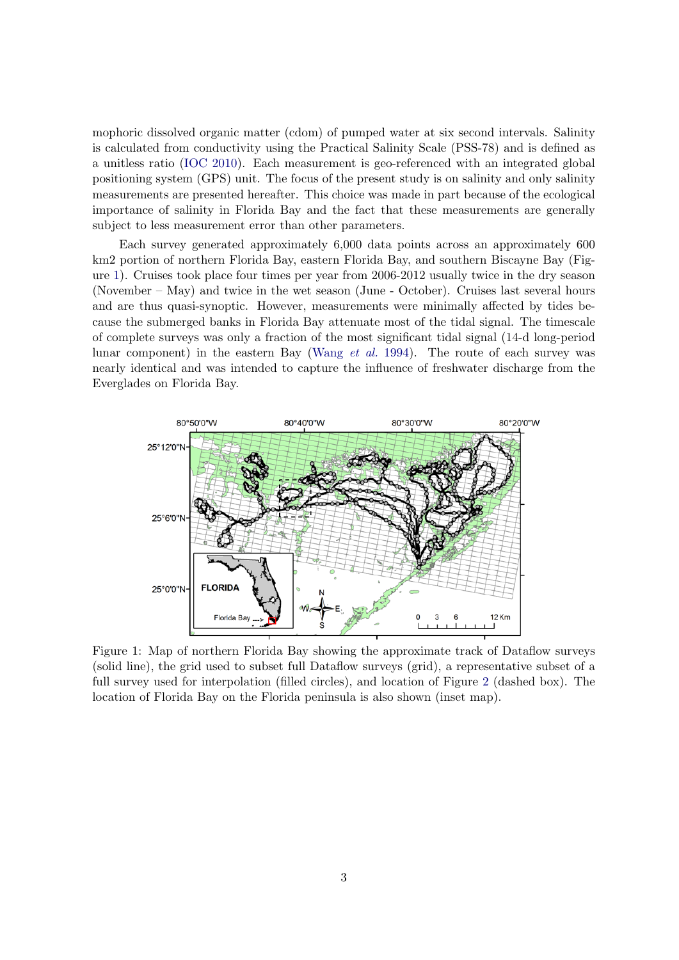mophoric dissolved organic matter (cdom) of pumped water at six second intervals. Salinity is calculated from conductivity using the Practical Salinity Scale (PSS-78) and is defined as a unitless ratio [\(IOC](#page-9-0) [2010\)](#page-9-0). Each measurement is geo-referenced with an integrated global positioning system (GPS) unit. The focus of the present study is on salinity and only salinity measurements are presented hereafter. This choice was made in part because of the ecological importance of salinity in Florida Bay and the fact that these measurements are generally subject to less measurement error than other parameters.

Each survey generated approximately 6,000 data points across an approximately 600 km2 portion of northern Florida Bay, eastern Florida Bay, and southern Biscayne Bay (Figure [1\)](#page-2-0). Cruises took place four times per year from 2006-2012 usually twice in the dry season (November – May) and twice in the wet season (June - October). Cruises last several hours and are thus quasi-synoptic. However, measurements were minimally affected by tides because the submerged banks in Florida Bay attenuate most of the tidal signal. The timescale of complete surveys was only a fraction of the most significant tidal signal (14-d long-period lunar component) in the eastern Bay [\(Wang](#page-11-1) et al. [1994\)](#page-11-1). The route of each survey was nearly identical and was intended to capture the influence of freshwater discharge from the Everglades on Florida Bay.

<span id="page-2-0"></span>

Figure 1: Map of northern Florida Bay showing the approximate track of Dataflow surveys (solid line), the grid used to subset full Dataflow surveys (grid), a representative subset of a full survey used for interpolation (filled circles), and location of Figure [2](#page-3-0) (dashed box). The location of Florida Bay on the Florida peninsula is also shown (inset map).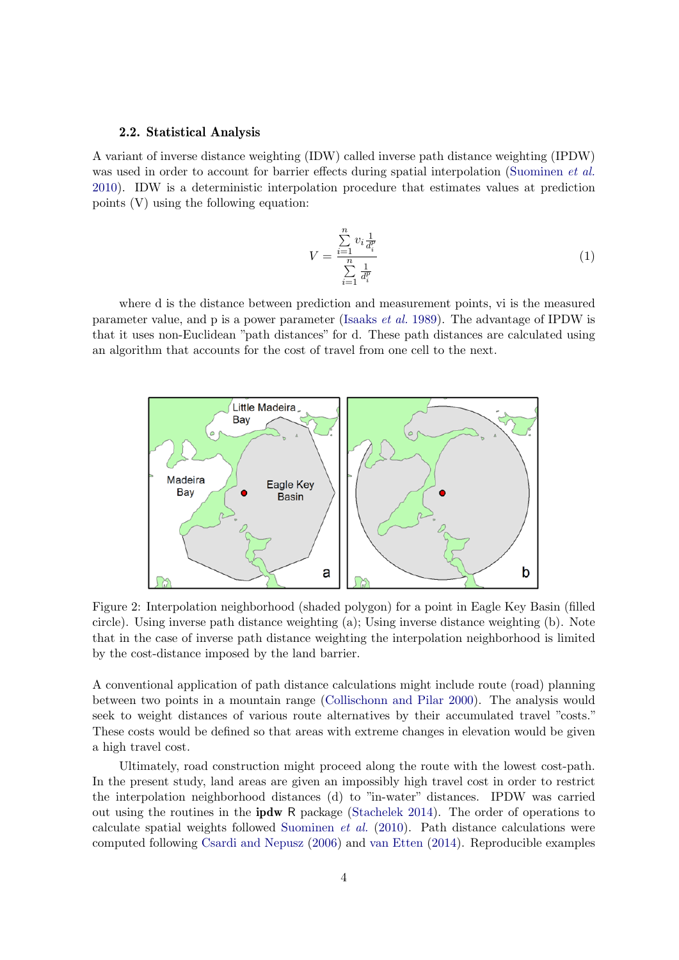#### 2.2. Statistical Analysis

A variant of inverse distance weighting (IDW) called inverse path distance weighting (IPDW) was used in order to account for barrier effects during spatial interpolation [\(Suominen](#page-11-2) *et al.*) [2010\)](#page-11-2). IDW is a deterministic interpolation procedure that estimates values at prediction points (V) using the following equation:

<span id="page-3-1"></span>
$$
V = \frac{\sum_{i=1}^{n} v_i \frac{1}{d_i^p}}{\sum_{i=1}^{n} \frac{1}{d_i^p}}
$$
 (1)

where d is the distance between prediction and measurement points, vi is the measured parameter value, and p is a power parameter [\(Isaaks](#page-10-1) et al. [1989\)](#page-10-1). The advantage of IPDW is that it uses non-Euclidean "path distances" for d. These path distances are calculated using an algorithm that accounts for the cost of travel from one cell to the next.

<span id="page-3-0"></span>

Figure 2: Interpolation neighborhood (shaded polygon) for a point in Eagle Key Basin (filled circle). Using inverse path distance weighting (a); Using inverse distance weighting (b). Note that in the case of inverse path distance weighting the interpolation neighborhood is limited by the cost-distance imposed by the land barrier.

A conventional application of path distance calculations might include route (road) planning between two points in a mountain range [\(Collischonn and Pilar](#page-9-1) [2000\)](#page-9-1). The analysis would seek to weight distances of various route alternatives by their accumulated travel "costs." These costs would be defined so that areas with extreme changes in elevation would be given a high travel cost.

Ultimately, road construction might proceed along the route with the lowest cost-path. In the present study, land areas are given an impossibly high travel cost in order to restrict the interpolation neighborhood distances (d) to "in-water" distances. IPDW was carried out using the routines in the ipdw R package [\(Stachelek](#page-10-6) [2014\)](#page-10-6). The order of operations to calculate spatial weights followed [Suominen](#page-11-2) et al. [\(2010\)](#page-11-2). Path distance calculations were computed following [Csardi and Nepusz](#page-9-2) [\(2006\)](#page-9-2) and [van Etten](#page-11-3) [\(2014\)](#page-11-3). Reproducible examples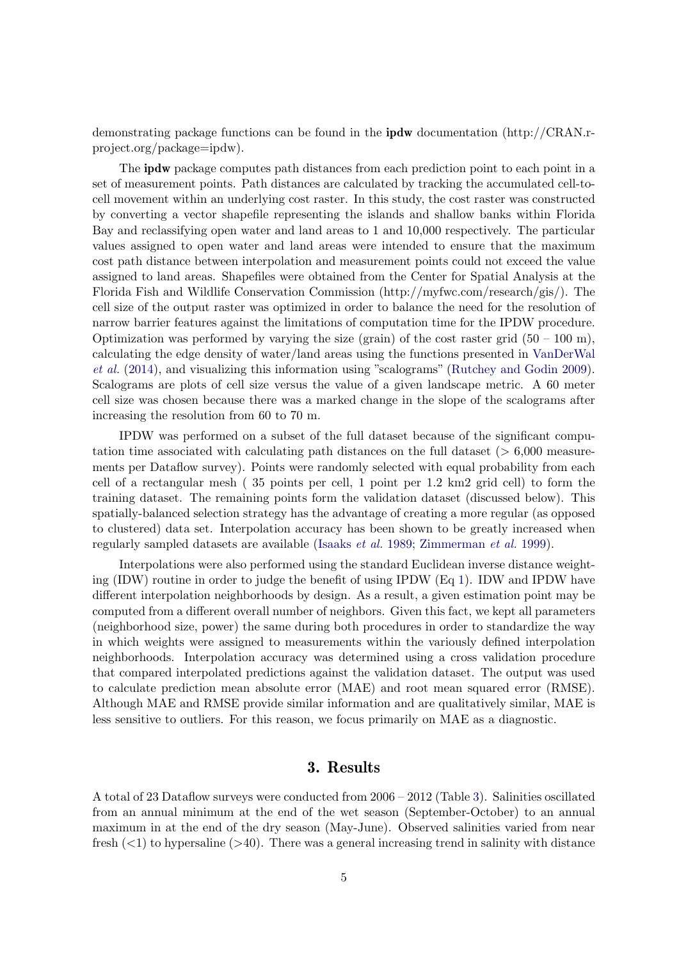demonstrating package functions can be found in the ipdw documentation (http://CRAN.rproject.org/package=ipdw).

The ipdw package computes path distances from each prediction point to each point in a set of measurement points. Path distances are calculated by tracking the accumulated cell-tocell movement within an underlying cost raster. In this study, the cost raster was constructed by converting a vector shapefile representing the islands and shallow banks within Florida Bay and reclassifying open water and land areas to 1 and 10,000 respectively. The particular values assigned to open water and land areas were intended to ensure that the maximum cost path distance between interpolation and measurement points could not exceed the value assigned to land areas. Shapefiles were obtained from the Center for Spatial Analysis at the Florida Fish and Wildlife Conservation Commission (http://myfwc.com/research/gis/). The cell size of the output raster was optimized in order to balance the need for the resolution of narrow barrier features against the limitations of computation time for the IPDW procedure. Optimization was performed by varying the size (grain) of the cost raster grid  $(50 - 100 \text{ m})$ , calculating the edge density of water/land areas using the functions presented in [VanDerWal](#page-11-4) [et al.](#page-11-4) [\(2014\)](#page-11-4), and visualizing this information using "scalograms" [\(Rutchey and Godin](#page-10-7) [2009\)](#page-10-7). Scalograms are plots of cell size versus the value of a given landscape metric. A 60 meter cell size was chosen because there was a marked change in the slope of the scalograms after increasing the resolution from 60 to 70 m.

IPDW was performed on a subset of the full dataset because of the significant computation time associated with calculating path distances on the full dataset  $(> 6,000$  measurements per Dataflow survey). Points were randomly selected with equal probability from each cell of a rectangular mesh ( 35 points per cell, 1 point per 1.2 km2 grid cell) to form the training dataset. The remaining points form the validation dataset (discussed below). This spatially-balanced selection strategy has the advantage of creating a more regular (as opposed to clustered) data set. Interpolation accuracy has been shown to be greatly increased when regularly sampled datasets are available [\(Isaaks](#page-10-1) et al. [1989;](#page-10-1) [Zimmerman](#page-11-0) et al. [1999\)](#page-11-0).

Interpolations were also performed using the standard Euclidean inverse distance weighting (IDW) routine in order to judge the benefit of using IPDW (Eq [1\)](#page-3-1). IDW and IPDW have different interpolation neighborhoods by design. As a result, a given estimation point may be computed from a different overall number of neighbors. Given this fact, we kept all parameters (neighborhood size, power) the same during both procedures in order to standardize the way in which weights were assigned to measurements within the variously defined interpolation neighborhoods. Interpolation accuracy was determined using a cross validation procedure that compared interpolated predictions against the validation dataset. The output was used to calculate prediction mean absolute error (MAE) and root mean squared error (RMSE). Although MAE and RMSE provide similar information and are qualitatively similar, MAE is less sensitive to outliers. For this reason, we focus primarily on MAE as a diagnostic.

### 3. Results

<span id="page-4-0"></span>A total of 23 Dataflow surveys were conducted from 2006 – 2012 (Table [3\)](#page-4-0). Salinities oscillated from an annual minimum at the end of the wet season (September-October) to an annual maximum in at the end of the dry season (May-June). Observed salinities varied from near fresh  $(<1)$  to hypersaline  $(>40)$ . There was a general increasing trend in salinity with distance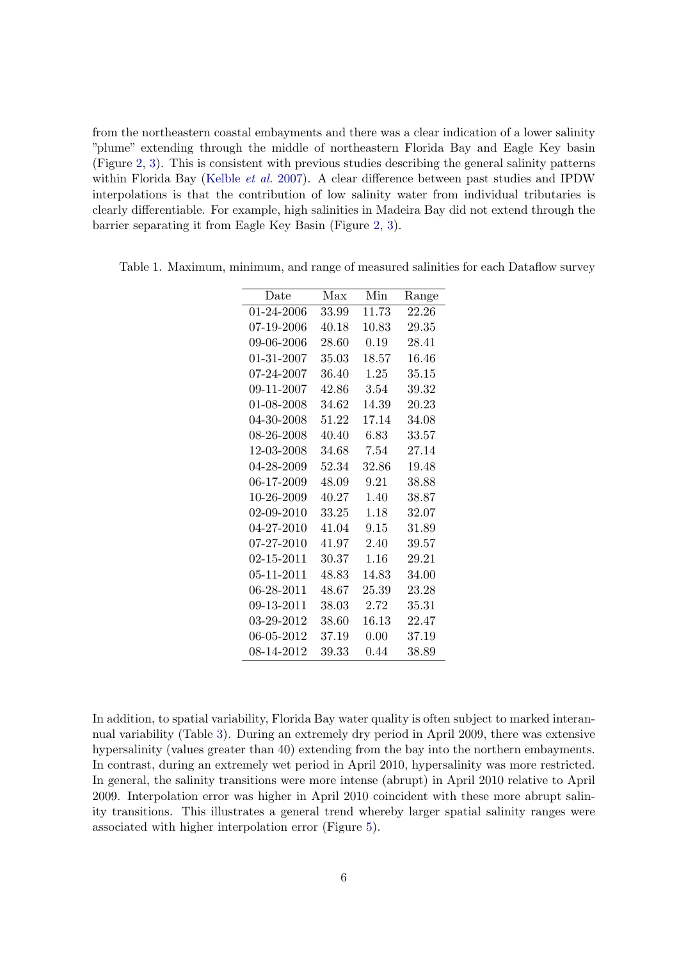from the northeastern coastal embayments and there was a clear indication of a lower salinity "plume" extending through the middle of northeastern Florida Bay and Eagle Key basin (Figure [2,](#page-3-0) [3\)](#page-6-0). This is consistent with previous studies describing the general salinity patterns within Florida Bay [\(Kelble](#page-10-8) *et al.* [2007\)](#page-10-8). A clear difference between past studies and IPDW interpolations is that the contribution of low salinity water from individual tributaries is clearly differentiable. For example, high salinities in Madeira Bay did not extend through the barrier separating it from Eagle Key Basin (Figure [2,](#page-3-0) [3\)](#page-6-0).

| Date       | $\operatorname{Max}$ | Min      | Range |
|------------|----------------------|----------|-------|
| 01-24-2006 | 33.99                | 11.73    | 22.26 |
| 07-19-2006 | 40.18                | 10.83    | 29.35 |
| 09-06-2006 | 28.60                | 0.19     | 28.41 |
| 01-31-2007 | 35.03                | 18.57    | 16.46 |
| 07-24-2007 | 36.40                | 1.25     | 35.15 |
| 09-11-2007 | 42.86                | 3.54     | 39.32 |
| 01-08-2008 | 34.62                | 14.39    | 20.23 |
| 04-30-2008 | 51.22                | 17.14    | 34.08 |
| 08-26-2008 | 40.40                | 6.83     | 33.57 |
| 12-03-2008 | 34.68                | $7.54\,$ | 27.14 |
| 04-28-2009 | 52.34                | 32.86    | 19.48 |
| 06-17-2009 | 48.09                | 9.21     | 38.88 |
| 10-26-2009 | 40.27                | 1.40     | 38.87 |
| 02-09-2010 | 33.25                | 1.18     | 32.07 |
| 04-27-2010 | 41.04                | 9.15     | 31.89 |
| 07-27-2010 | 41.97                | 2.40     | 39.57 |
| 02-15-2011 | 30.37                | 1.16     | 29.21 |
| 05-11-2011 | 48.83                | 14.83    | 34.00 |
| 06-28-2011 | 48.67                | 25.39    | 23.28 |
| 09-13-2011 | 38.03                | 2.72     | 35.31 |
| 03-29-2012 | 38.60                | 16.13    | 22.47 |
| 06-05-2012 | 37.19                | 0.00     | 37.19 |
| 08-14-2012 | 39.33                | 0.44     | 38.89 |

Table 1. Maximum, minimum, and range of measured salinities for each Dataflow survey

In addition, to spatial variability, Florida Bay water quality is often subject to marked interannual variability (Table [3\)](#page-4-0). During an extremely dry period in April 2009, there was extensive hypersalinity (values greater than 40) extending from the bay into the northern embayments. In contrast, during an extremely wet period in April 2010, hypersalinity was more restricted. In general, the salinity transitions were more intense (abrupt) in April 2010 relative to April 2009. Interpolation error was higher in April 2010 coincident with these more abrupt salinity transitions. This illustrates a general trend whereby larger spatial salinity ranges were associated with higher interpolation error (Figure [5\)](#page-7-0).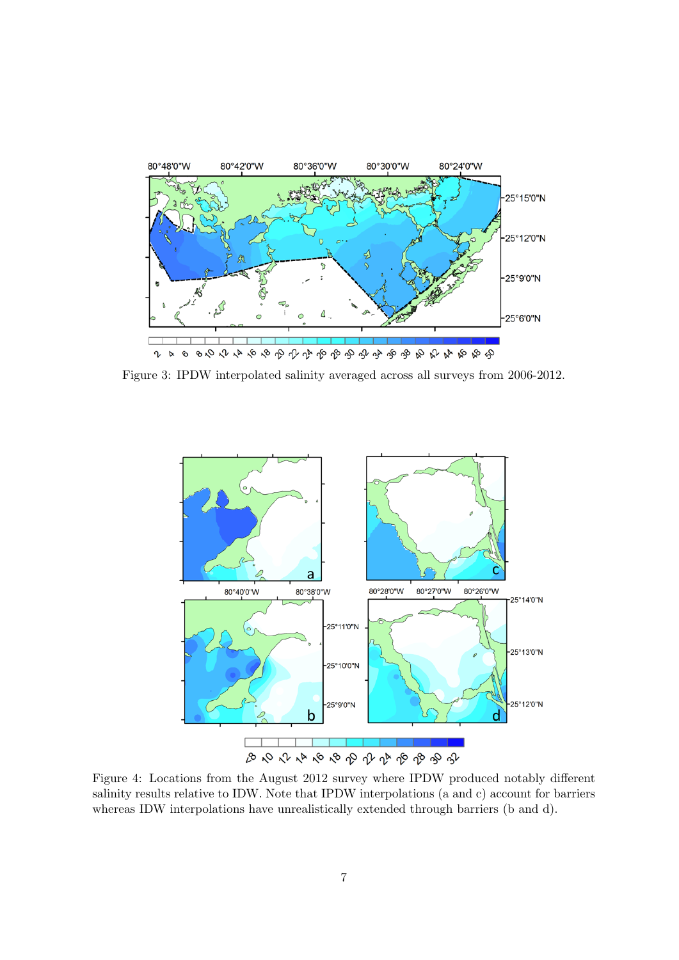<span id="page-6-0"></span>

<span id="page-6-1"></span>Figure 3: IPDW interpolated salinity averaged across all surveys from 2006-2012.



Figure 4: Locations from the August 2012 survey where IPDW produced notably different salinity results relative to IDW. Note that IPDW interpolations (a and c) account for barriers whereas IDW interpolations have unrealistically extended through barriers (b and d).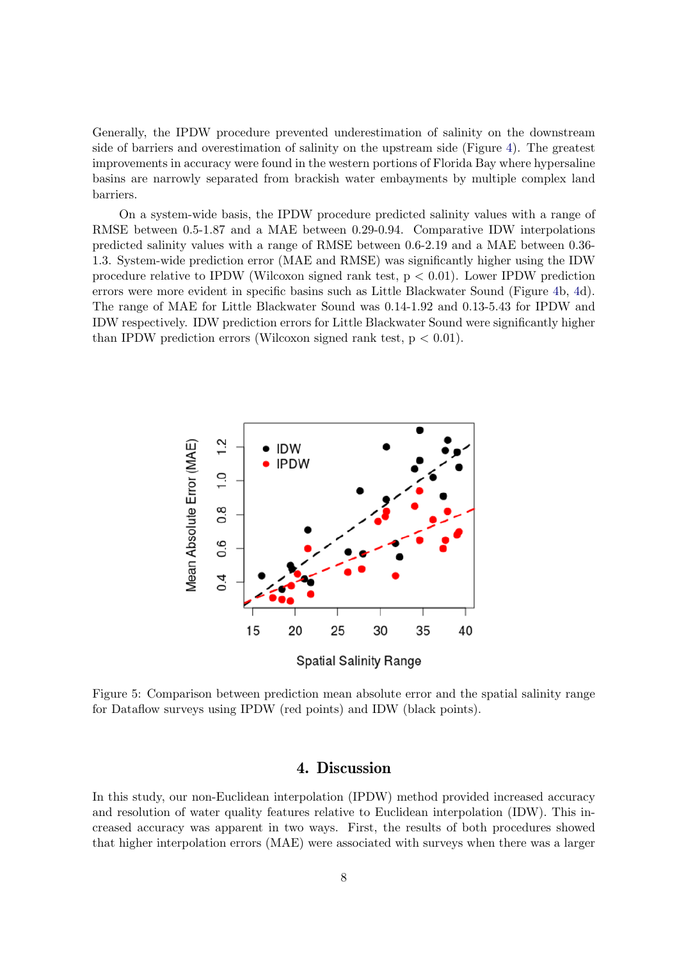Generally, the IPDW procedure prevented underestimation of salinity on the downstream side of barriers and overestimation of salinity on the upstream side (Figure [4\)](#page-6-1). The greatest improvements in accuracy were found in the western portions of Florida Bay where hypersaline basins are narrowly separated from brackish water embayments by multiple complex land barriers.

On a system-wide basis, the IPDW procedure predicted salinity values with a range of RMSE between 0.5-1.87 and a MAE between 0.29-0.94. Comparative IDW interpolations predicted salinity values with a range of RMSE between 0.6-2.19 and a MAE between 0.36- 1.3. System-wide prediction error (MAE and RMSE) was significantly higher using the IDW procedure relative to IPDW (Wilcoxon signed rank test,  $p < 0.01$ ). Lower IPDW prediction errors were more evident in specific basins such as Little Blackwater Sound (Figure [4b](#page-6-1), [4d](#page-6-1)). The range of MAE for Little Blackwater Sound was 0.14-1.92 and 0.13-5.43 for IPDW and IDW respectively. IDW prediction errors for Little Blackwater Sound were significantly higher than IPDW prediction errors (Wilcoxon signed rank test,  $p < 0.01$ ).

<span id="page-7-0"></span>

Figure 5: Comparison between prediction mean absolute error and the spatial salinity range for Dataflow surveys using IPDW (red points) and IDW (black points).

## 4. Discussion

In this study, our non-Euclidean interpolation (IPDW) method provided increased accuracy and resolution of water quality features relative to Euclidean interpolation (IDW). This increased accuracy was apparent in two ways. First, the results of both procedures showed that higher interpolation errors (MAE) were associated with surveys when there was a larger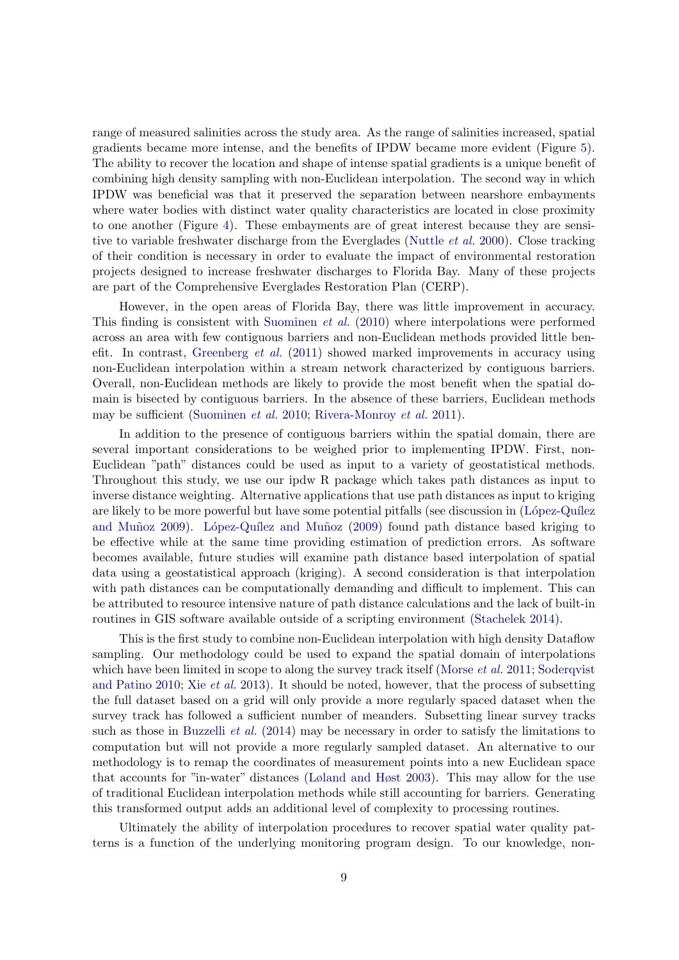range of measured salinities across the study area. As the range of salinities increased, spatial gradients became more intense, and the benefits of IPDW became more evident (Figure [5\)](#page-7-0). The ability to recover the location and shape of intense spatial gradients is a unique benefit of combining high density sampling with non-Euclidean interpolation. The second way in which IPDW was beneficial was that it preserved the separation between nearshore embayments where water bodies with distinct water quality characteristics are located in close proximity to one another (Figure [4\)](#page-6-1). These embayments are of great interest because they are sensi-tive to variable freshwater discharge from the Everglades [\(Nuttle](#page-10-9) *et al.* [2000\)](#page-10-9). Close tracking of their condition is necessary in order to evaluate the impact of environmental restoration projects designed to increase freshwater discharges to Florida Bay. Many of these projects are part of the Comprehensive Everglades Restoration Plan (CERP).

However, in the open areas of Florida Bay, there was little improvement in accuracy. This finding is consistent with [Suominen](#page-11-2) et al. [\(2010\)](#page-11-2) where interpolations were performed across an area with few contiguous barriers and non-Euclidean methods provided little ben-efit. In contrast, [Greenberg](#page-9-3) *et al.* [\(2011\)](#page-9-3) showed marked improvements in accuracy using non-Euclidean interpolation within a stream network characterized by contiguous barriers. Overall, non-Euclidean methods are likely to provide the most benefit when the spatial domain is bisected by contiguous barriers. In the absence of these barriers, Euclidean methods may be sufficient [\(Suominen](#page-11-2) et al. [2010;](#page-11-2) [Rivera-Monroy](#page-10-10) et al. [2011\)](#page-10-10).

In addition to the presence of contiguous barriers within the spatial domain, there are several important considerations to be weighed prior to implementing IPDW. First, non-Euclidean "path" distances could be used as input to a variety of geostatistical methods. Throughout this study, we use our ipdw R package which takes path distances as input to inverse distance weighting. Alternative applications that use path distances as input to kriging are likely to be more powerful but have some potential pitfalls (see discussion in (López-Quílez) and Muñoz [2009\)](#page-10-5). López-Quílez and Muñoz [\(2009\)](#page-10-5) found path distance based kriging to be effective while at the same time providing estimation of prediction errors. As software becomes available, future studies will examine path distance based interpolation of spatial data using a geostatistical approach (kriging). A second consideration is that interpolation with path distances can be computationally demanding and difficult to implement. This can be attributed to resource intensive nature of path distance calculations and the lack of built-in routines in GIS software available outside of a scripting environment [\(Stachelek](#page-10-6) [2014\)](#page-10-6).

This is the first study to combine non-Euclidean interpolation with high density Dataflow sampling. Our methodology could be used to expand the spatial domain of interpolations which have been limited in scope to along the survey track itself [\(Morse](#page-10-11) *et al.* [2011;](#page-10-11) [Soderqvist](#page-10-3) [and Patino](#page-10-3) [2010;](#page-10-3) Xie [et al.](#page-11-5) [2013\)](#page-11-5). It should be noted, however, that the process of subsetting the full dataset based on a grid will only provide a more regularly spaced dataset when the survey track has followed a sufficient number of meanders. Subsetting linear survey tracks such as those in [Buzzelli](#page-9-4) *et al.* [\(2014\)](#page-9-4) may be necessary in order to satisfy the limitations to computation but will not provide a more regularly sampled dataset. An alternative to our methodology is to remap the coordinates of measurement points into a new Euclidean space that accounts for "in-water" distances [\(Løland and Høst](#page-10-12) [2003\)](#page-10-12). This may allow for the use of traditional Euclidean interpolation methods while still accounting for barriers. Generating this transformed output adds an additional level of complexity to processing routines.

Ultimately the ability of interpolation procedures to recover spatial water quality patterns is a function of the underlying monitoring program design. To our knowledge, non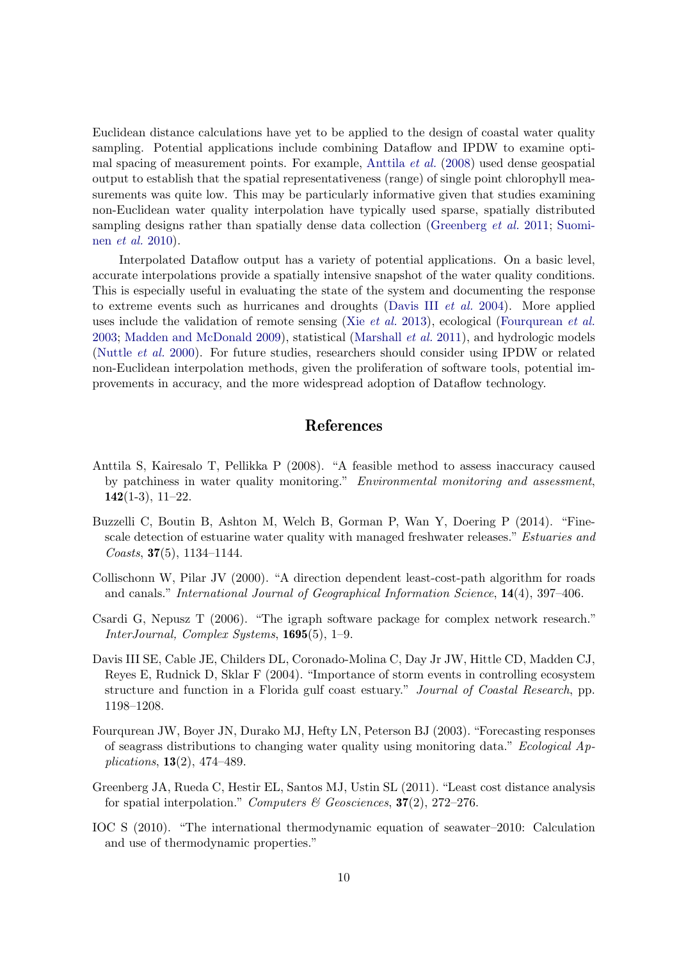Euclidean distance calculations have yet to be applied to the design of coastal water quality sampling. Potential applications include combining Dataflow and IPDW to examine opti-mal spacing of measurement points. For example, [Anttila](#page-9-5)  $et \ al.$  [\(2008\)](#page-9-5) used dense geospatial output to establish that the spatial representativeness (range) of single point chlorophyll measurements was quite low. This may be particularly informative given that studies examining non-Euclidean water quality interpolation have typically used sparse, spatially distributed sampling designs rather than spatially dense data collection [\(Greenberg](#page-9-3) *et al.* [2011;](#page-9-3) [Suomi](#page-11-2)nen [et al.](#page-11-2) [2010\)](#page-11-2).

Interpolated Dataflow output has a variety of potential applications. On a basic level, accurate interpolations provide a spatially intensive snapshot of the water quality conditions. This is especially useful in evaluating the state of the system and documenting the response to extreme events such as hurricanes and droughts [\(Davis III](#page-9-6) *et al.* [2004\)](#page-9-6). More applied uses include the validation of remote sensing (Xie *[et al.](#page-11-5)* [2013\)](#page-11-5), ecological [\(Fourqurean](#page-9-7) *et al.* [2003;](#page-9-7) [Madden and McDonald](#page-10-13) [2009\)](#page-10-13), statistical [\(Marshall](#page-10-14) et al. [2011\)](#page-10-14), and hydrologic models [\(Nuttle](#page-10-9) et al. [2000\)](#page-10-9). For future studies, researchers should consider using IPDW or related non-Euclidean interpolation methods, given the proliferation of software tools, potential improvements in accuracy, and the more widespread adoption of Dataflow technology.

## References

- <span id="page-9-5"></span>Anttila S, Kairesalo T, Pellikka P (2008). "A feasible method to assess inaccuracy caused by patchiness in water quality monitoring." Environmental monitoring and assessment,  $142(1-3), 11-22.$
- <span id="page-9-4"></span>Buzzelli C, Boutin B, Ashton M, Welch B, Gorman P, Wan Y, Doering P (2014). "Finescale detection of estuarine water quality with managed freshwater releases." Estuaries and Coasts,  $37(5)$ ,  $1134-1144$ .
- <span id="page-9-1"></span>Collischonn W, Pilar JV (2000). "A direction dependent least-cost-path algorithm for roads and canals." International Journal of Geographical Information Science, 14(4), 397–406.
- <span id="page-9-2"></span>Csardi G, Nepusz T (2006). "The igraph software package for complex network research." InterJournal, Complex Systems, 1695(5), 1–9.
- <span id="page-9-6"></span>Davis III SE, Cable JE, Childers DL, Coronado-Molina C, Day Jr JW, Hittle CD, Madden CJ, Reyes E, Rudnick D, Sklar F (2004). "Importance of storm events in controlling ecosystem structure and function in a Florida gulf coast estuary." Journal of Coastal Research, pp. 1198–1208.
- <span id="page-9-7"></span>Fourqurean JW, Boyer JN, Durako MJ, Hefty LN, Peterson BJ (2003). "Forecasting responses of seagrass distributions to changing water quality using monitoring data." Ecological Applications, 13(2), 474–489.
- <span id="page-9-3"></span>Greenberg JA, Rueda C, Hestir EL, Santos MJ, Ustin SL (2011). "Least cost distance analysis for spatial interpolation." Computers & Geosciences,  $37(2)$ ,  $272-276$ .
- <span id="page-9-0"></span>IOC S (2010). "The international thermodynamic equation of seawater–2010: Calculation and use of thermodynamic properties."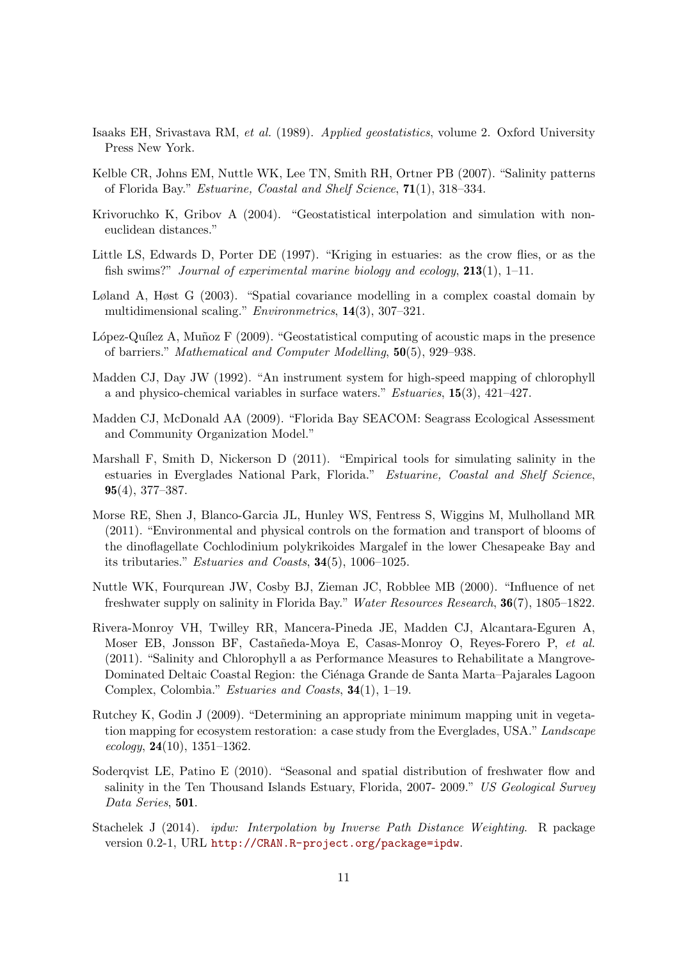- <span id="page-10-1"></span>Isaaks EH, Srivastava RM, et al. (1989). Applied geostatistics, volume 2. Oxford University Press New York.
- <span id="page-10-8"></span>Kelble CR, Johns EM, Nuttle WK, Lee TN, Smith RH, Ortner PB (2007). "Salinity patterns of Florida Bay." Estuarine, Coastal and Shelf Science, 71(1), 318–334.
- <span id="page-10-2"></span>Krivoruchko K, Gribov A (2004). "Geostatistical interpolation and simulation with noneuclidean distances."
- <span id="page-10-4"></span>Little LS, Edwards D, Porter DE (1997). "Kriging in estuaries: as the crow flies, or as the fish swims?" Journal of experimental marine biology and ecology,  $213(1)$ , 1–11.
- <span id="page-10-12"></span>Løland A, Høst G (2003). "Spatial covariance modelling in a complex coastal domain by multidimensional scaling." Environmetrics, 14(3), 307–321.
- <span id="page-10-5"></span>López-Quílez A, Muñoz F (2009). "Geostatistical computing of acoustic maps in the presence of barriers." Mathematical and Computer Modelling, 50(5), 929–938.
- <span id="page-10-0"></span>Madden CJ, Day JW (1992). "An instrument system for high-speed mapping of chlorophyll a and physico-chemical variables in surface waters." Estuaries, 15(3), 421–427.
- <span id="page-10-13"></span>Madden CJ, McDonald AA (2009). "Florida Bay SEACOM: Seagrass Ecological Assessment and Community Organization Model."
- <span id="page-10-14"></span>Marshall F, Smith D, Nickerson D (2011). "Empirical tools for simulating salinity in the estuaries in Everglades National Park, Florida." Estuarine, Coastal and Shelf Science, 95(4), 377–387.
- <span id="page-10-11"></span>Morse RE, Shen J, Blanco-Garcia JL, Hunley WS, Fentress S, Wiggins M, Mulholland MR (2011). "Environmental and physical controls on the formation and transport of blooms of the dinoflagellate Cochlodinium polykrikoides Margalef in the lower Chesapeake Bay and its tributaries." Estuaries and Coasts, 34(5), 1006–1025.
- <span id="page-10-9"></span>Nuttle WK, Fourqurean JW, Cosby BJ, Zieman JC, Robblee MB (2000). "Influence of net freshwater supply on salinity in Florida Bay." Water Resources Research, 36(7), 1805–1822.
- <span id="page-10-10"></span>Rivera-Monroy VH, Twilley RR, Mancera-Pineda JE, Madden CJ, Alcantara-Eguren A, Moser EB, Jonsson BF, Castañeda-Moya E, Casas-Monroy O, Reyes-Forero P, et al. (2011). "Salinity and Chlorophyll a as Performance Measures to Rehabilitate a Mangrove-Dominated Deltaic Coastal Region: the Ciénaga Grande de Santa Marta–Pajarales Lagoon Complex, Colombia." Estuaries and Coasts, 34(1), 1–19.
- <span id="page-10-7"></span>Rutchey K, Godin J (2009). "Determining an appropriate minimum mapping unit in vegetation mapping for ecosystem restoration: a case study from the Everglades, USA." Landscape  $ecology, 24(10), 1351-1362.$
- <span id="page-10-3"></span>Sodergvist LE, Patino E (2010). "Seasonal and spatial distribution of freshwater flow and salinity in the Ten Thousand Islands Estuary, Florida, 2007- 2009." US Geological Survey Data Series, **501**.
- <span id="page-10-6"></span>Stachelek J (2014). ipdw: Interpolation by Inverse Path Distance Weighting. R package version 0.2-1, URL <http://CRAN.R-project.org/package=ipdw>.